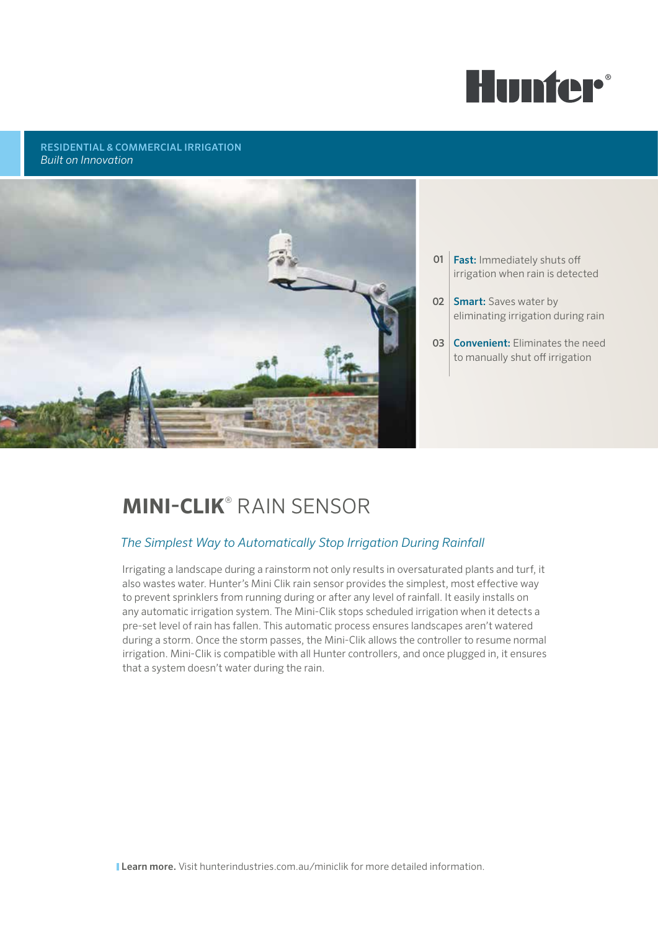

### RESIDENTIAL & COMMERCIAL IRRIGATION *Built on Innovation*



- 01 | Fast: Immediately shuts off irrigation when rain is detected
- 02 Smart: Saves water by eliminating irrigation during rain
- 03 **Convenient:** Eliminates the need to manually shut off irrigation

# **MINI-Clik**® Rain Sensor

# *The Simplest Way to Automatically Stop Irrigation During Rainfall*

Irrigating a landscape during a rainstorm not only results in oversaturated plants and turf, it also wastes water. Hunter's Mini Clik rain sensor provides the simplest, most effective way to prevent sprinklers from running during or after any level of rainfall. It easily installs on any automatic irrigation system. The Mini-Clik stops scheduled irrigation when it detects a pre-set level of rain has fallen. This automatic process ensures landscapes aren't watered during a storm. Once the storm passes, the Mini-Clik allows the controller to resume normal irrigation. Mini-Clik is compatible with all Hunter controllers, and once plugged in, it ensures that a system doesn't water during the rain.